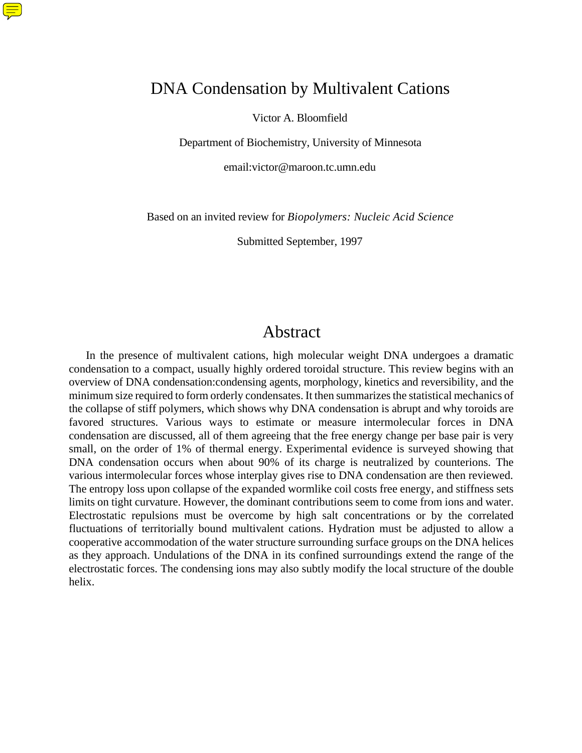# DNA Condensation by Multivalent Cations

 $\textcircled{\Xi}$ 

Victor A. Bloomfield

Department of Biochemistry, University of Minnesota

email:victor@maroon.tc.umn.edu

Based on an invited review for *Biopolymers: Nucleic Acid Science*

Submitted September, 1997

### Abstract

In the presence of multivalent cations, high molecular weight DNA undergoes a dramatic condensation to a compact, usually highly ordered toroidal structure. This review begins with an overview of DNA condensation:condensing agents, morphology, kinetics and reversibility, and the minimum size required to form orderly condensates. It then summarizes the statistical mechanics of the collapse of stiff polymers, which shows why DNA condensation is abrupt and why toroids are favored structures. Various ways to estimate or measure intermolecular forces in DNA condensation are discussed, all of them agreeing that the free energy change per base pair is very small, on the order of 1% of thermal energy. Experimental evidence is surveyed showing that DNA condensation occurs when about 90% of its charge is neutralized by counterions. The various intermolecular forces whose interplay gives rise to DNA condensation are then reviewed. The entropy loss upon collapse of the expanded wormlike coil costs free energy, and stiffness sets limits on tight curvature. However, the dominant contributions seem to come from ions and water. Electrostatic repulsions must be overcome by high salt concentrations or by the correlated fluctuations of territorially bound multivalent cations. Hydration must be adjusted to allow a cooperative accommodation of the water structure surrounding surface groups on the DNA helices as they approach. Undulations of the DNA in its confined surroundings extend the range of the electrostatic forces. The condensing ions may also subtly modify the local structure of the double helix.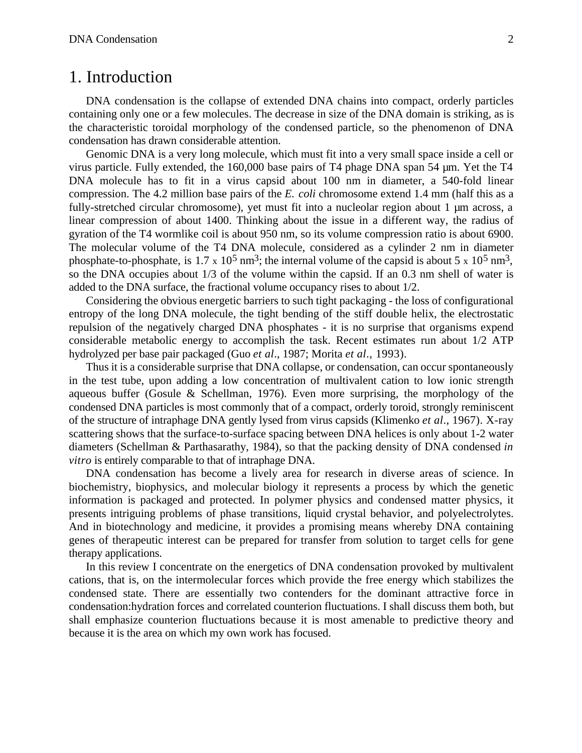## 1. Introduction

DNA condensation is the collapse of extended DNA chains into compact, orderly particles containing only one or a few molecules. The decrease in size of the DNA domain is striking, as is the characteristic toroidal morphology of the condensed particle, so the phenomenon of DNA condensation has drawn considerable attention.

Genomic DNA is a very long molecule, which must fit into a very small space inside a cell or virus particle. Fully extended, the 160,000 base pairs of T4 phage DNA span 54 µm. Yet the T4 DNA molecule has to fit in a virus capsid about 100 nm in diameter, a 540-fold linear compression. The 4.2 million base pairs of the *E. coli* chromosome extend 1.4 mm (half this as a fully-stretched circular chromosome), yet must fit into a nucleolar region about 1 µm across, a linear compression of about 1400. Thinking about the issue in a different way, the radius of gyration of the T4 wormlike coil is about 950 nm, so its volume compression ratio is about 6900. The molecular volume of the T4 DNA molecule, considered as a cylinder 2 nm in diameter phosphate-to-phosphate, is 1.7 x 10<sup>5</sup> nm<sup>3</sup>; the internal volume of the capsid is about 5 x 10<sup>5</sup> nm<sup>3</sup>, so the DNA occupies about 1/3 of the volume within the capsid. If an 0.3 nm shell of water is added to the DNA surface, the fractional volume occupancy rises to about 1/2.

Considering the obvious energetic barriers to such tight packaging - the loss of configurational entropy of the long DNA molecule, the tight bending of the stiff double helix, the electrostatic repulsion of the negatively charged DNA phosphates - it is no surprise that organisms expend considerable metabolic energy to accomplish the task. Recent estimates run about 1/2 ATP hydrolyzed per base pair packaged (Guo *et al*., 1987; Morita *et al*., 1993).

Thus it is a considerable surprise that DNA collapse, or condensation, can occur spontaneously in the test tube, upon adding a low concentration of multivalent cation to low ionic strength aqueous buffer (Gosule & Schellman, 1976). Even more surprising, the morphology of the condensed DNA particles is most commonly that of a compact, orderly toroid, strongly reminiscent of the structure of intraphage DNA gently lysed from virus capsids (Klimenko *et al*., 1967). X-ray scattering shows that the surface-to-surface spacing between DNA helices is only about 1-2 water diameters (Schellman & Parthasarathy, 1984), so that the packing density of DNA condensed *in vitro* is entirely comparable to that of intraphage DNA.

DNA condensation has become a lively area for research in diverse areas of science. In biochemistry, biophysics, and molecular biology it represents a process by which the genetic information is packaged and protected. In polymer physics and condensed matter physics, it presents intriguing problems of phase transitions, liquid crystal behavior, and polyelectrolytes. And in biotechnology and medicine, it provides a promising means whereby DNA containing genes of therapeutic interest can be prepared for transfer from solution to target cells for gene therapy applications.

In this review I concentrate on the energetics of DNA condensation provoked by multivalent cations, that is, on the intermolecular forces which provide the free energy which stabilizes the condensed state. There are essentially two contenders for the dominant attractive force in condensation:hydration forces and correlated counterion fluctuations. I shall discuss them both, but shall emphasize counterion fluctuations because it is most amenable to predictive theory and because it is the area on which my own work has focused.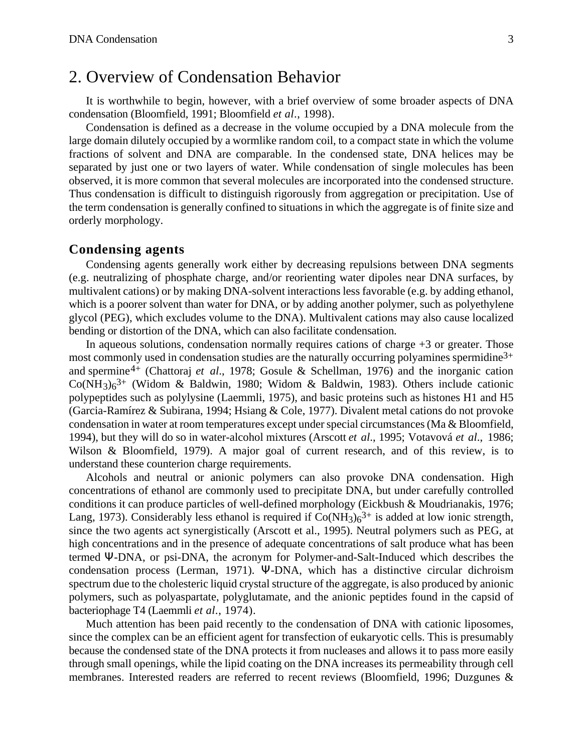# 2. Overview of Condensation Behavior

It is worthwhile to begin, however, with a brief overview of some broader aspects of DNA condensation (Bloomfield, 1991; Bloomfield *et al*., 1998).

Condensation is defined as a decrease in the volume occupied by a DNA molecule from the large domain dilutely occupied by a wormlike random coil, to a compact state in which the volume fractions of solvent and DNA are comparable. In the condensed state, DNA helices may be separated by just one or two layers of water. While condensation of single molecules has been observed, it is more common that several molecules are incorporated into the condensed structure. Thus condensation is difficult to distinguish rigorously from aggregation or precipitation. Use of the term condensation is generally confined to situations in which the aggregate is of finite size and orderly morphology.

#### **Condensing agents**

Condensing agents generally work either by decreasing repulsions between DNA segments (e.g. neutralizing of phosphate charge, and/or reorienting water dipoles near DNA surfaces, by multivalent cations) or by making DNA-solvent interactions less favorable (e.g. by adding ethanol, which is a poorer solvent than water for DNA, or by adding another polymer, such as polyethylene glycol (PEG), which excludes volume to the DNA). Multivalent cations may also cause localized bending or distortion of the DNA, which can also facilitate condensation.

In aqueous solutions, condensation normally requires cations of charge  $+3$  or greater. Those most commonly used in condensation studies are the naturally occurring polyamines spermidine<sup>3+</sup> and spermine4+ (Chattoraj *et al*., 1978; Gosule & Schellman, 1976) and the inorganic cation  $Co(NH<sub>3</sub>)<sub>6</sub><sup>3+</sup>$  (Widom & Baldwin, 1980; Widom & Baldwin, 1983). Others include cationic polypeptides such as polylysine (Laemmli, 1975), and basic proteins such as histones H1 and H5 (Garcia-Ramírez & Subirana, 1994; Hsiang & Cole, 1977). Divalent metal cations do not provoke condensation in water at room temperatures except under special circumstances (Ma & Bloomfield, 1994), but they will do so in water-alcohol mixtures (Arscott *et al*., 1995; Votavová *et al*., 1986; Wilson & Bloomfield, 1979). A major goal of current research, and of this review, is to understand these counterion charge requirements.

Alcohols and neutral or anionic polymers can also provoke DNA condensation. High concentrations of ethanol are commonly used to precipitate DNA, but under carefully controlled conditions it can produce particles of well-defined morphology (Eickbush & Moudrianakis, 1976; Lang, 1973). Considerably less ethanol is required if  $Co(NH_3)_6^{3+}$  is added at low ionic strength, since the two agents act synergistically (Arscott et al., 1995). Neutral polymers such as PEG, at high concentrations and in the presence of adequate concentrations of salt produce what has been termed -DNA, or psi-DNA, the acronym for Polymer-and-Salt-Induced which describes the condensation process (Lerman, 1971). -DNA, which has a distinctive circular dichroism spectrum due to the cholesteric liquid crystal structure of the aggregate, is also produced by anionic polymers, such as polyaspartate, polyglutamate, and the anionic peptides found in the capsid of bacteriophage T4 (Laemmli *et al*., 1974).

Much attention has been paid recently to the condensation of DNA with cationic liposomes, since the complex can be an efficient agent for transfection of eukaryotic cells. This is presumably because the condensed state of the DNA protects it from nucleases and allows it to pass more easily through small openings, while the lipid coating on the DNA increases its permeability through cell membranes. Interested readers are referred to recent reviews (Bloomfield, 1996; Duzgunes &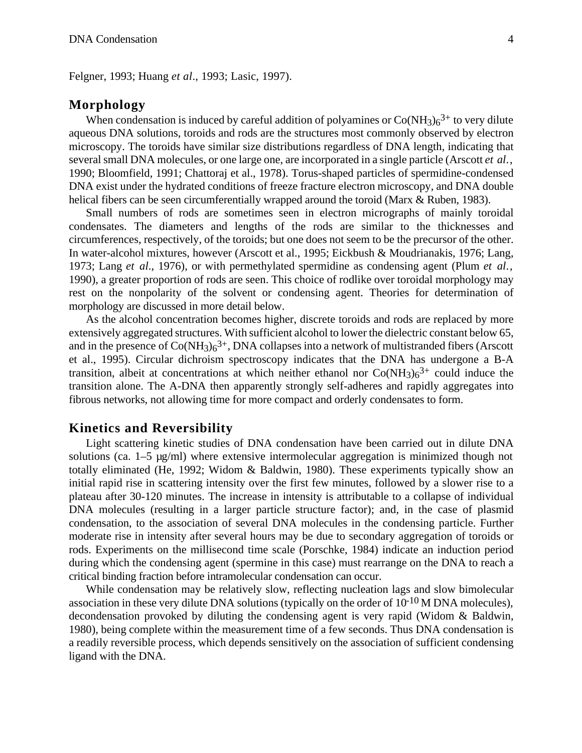Felgner, 1993; Huang *et al*., 1993; Lasic, 1997).

#### **Morphology**

When condensation is induced by careful addition of polyamines or  $Co(NH_3)_6^{3+}$  to very dilute aqueous DNA solutions, toroids and rods are the structures most commonly observed by electron microscopy. The toroids have similar size distributions regardless of DNA length, indicating that several small DNA molecules, or one large one, are incorporated in a single particle (Arscott *et al*., 1990; Bloomfield, 1991; Chattoraj et al., 1978). Torus-shaped particles of spermidine-condensed DNA exist under the hydrated conditions of freeze fracture electron microscopy, and DNA double helical fibers can be seen circumferentially wrapped around the toroid (Marx & Ruben, 1983).

Small numbers of rods are sometimes seen in electron micrographs of mainly toroidal condensates. The diameters and lengths of the rods are similar to the thicknesses and circumferences, respectively, of the toroids; but one does not seem to be the precursor of the other. In water-alcohol mixtures, however (Arscott et al., 1995; Eickbush & Moudrianakis, 1976; Lang, 1973; Lang *et al*., 1976), or with permethylated spermidine as condensing agent (Plum *et al*., 1990), a greater proportion of rods are seen. This choice of rodlike over toroidal morphology may rest on the nonpolarity of the solvent or condensing agent. Theories for determination of morphology are discussed in more detail below.

As the alcohol concentration becomes higher, discrete toroids and rods are replaced by more extensively aggregated structures. With sufficient alcohol to lower the dielectric constant below 65, and in the presence of  $Co(NH_3)_6^{3+}$ , DNA collapses into a network of multistranded fibers (Arscott et al., 1995). Circular dichroism spectroscopy indicates that the DNA has undergone a B-A transition, albeit at concentrations at which neither ethanol nor  $Co(NH<sub>3</sub>)<sub>6</sub><sup>3+</sup>$  could induce the transition alone. The A-DNA then apparently strongly self-adheres and rapidly aggregates into fibrous networks, not allowing time for more compact and orderly condensates to form.

#### **Kinetics and Reversibility**

Light scattering kinetic studies of DNA condensation have been carried out in dilute DNA solutions (ca. 1–5 µg/ml) where extensive intermolecular aggregation is minimized though not totally eliminated (He, 1992; Widom & Baldwin, 1980). These experiments typically show an initial rapid rise in scattering intensity over the first few minutes, followed by a slower rise to a plateau after 30-120 minutes. The increase in intensity is attributable to a collapse of individual DNA molecules (resulting in a larger particle structure factor); and, in the case of plasmid condensation, to the association of several DNA molecules in the condensing particle. Further moderate rise in intensity after several hours may be due to secondary aggregation of toroids or rods. Experiments on the millisecond time scale (Porschke, 1984) indicate an induction period during which the condensing agent (spermine in this case) must rearrange on the DNA to reach a critical binding fraction before intramolecular condensation can occur.

While condensation may be relatively slow, reflecting nucleation lags and slow bimolecular association in these very dilute DNA solutions (typically on the order of  $10^{-10}$  M DNA molecules), decondensation provoked by diluting the condensing agent is very rapid (Widom & Baldwin, 1980), being complete within the measurement time of a few seconds. Thus DNA condensation is a readily reversible process, which depends sensitively on the association of sufficient condensing ligand with the DNA.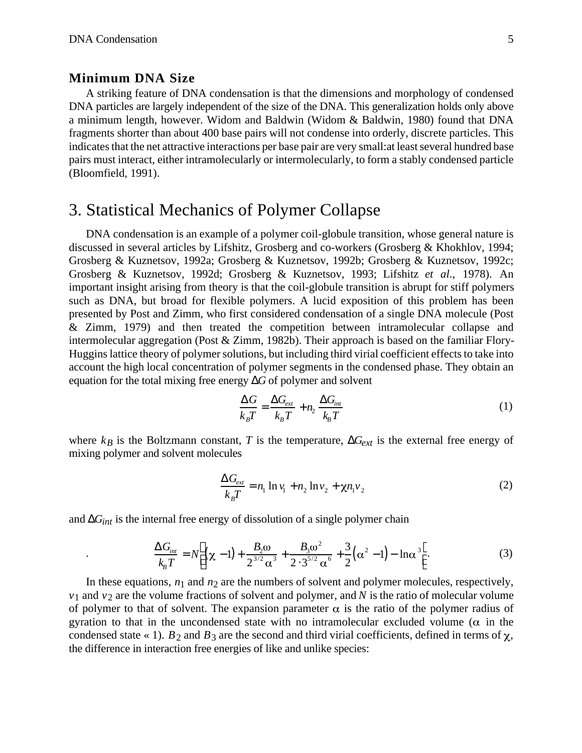.

#### **Minimum DNA Size**

A striking feature of DNA condensation is that the dimensions and morphology of condensed DNA particles are largely independent of the size of the DNA. This generalization holds only above a minimum length, however. Widom and Baldwin (Widom & Baldwin, 1980) found that DNA fragments shorter than about 400 base pairs will not condense into orderly, discrete particles. This indicates that the net attractive interactions per base pair are very small:at least several hundred base pairs must interact, either intramolecularly or intermolecularly, to form a stably condensed particle (Bloomfield, 1991).

## 3. Statistical Mechanics of Polymer Collapse

DNA condensation is an example of a polymer coil-globule transition, whose general nature is discussed in several articles by Lifshitz, Grosberg and co-workers (Grosberg & Khokhlov, 1994; Grosberg & Kuznetsov, 1992a; Grosberg & Kuznetsov, 1992b; Grosberg & Kuznetsov, 1992c; Grosberg & Kuznetsov, 1992d; Grosberg & Kuznetsov, 1993; Lifshitz *et al*., 1978). An important insight arising from theory is that the coil-globule transition is abrupt for stiff polymers such as DNA, but broad for flexible polymers. A lucid exposition of this problem has been presented by Post and Zimm, who first considered condensation of a single DNA molecule (Post & Zimm, 1979) and then treated the competition between intramolecular collapse and intermolecular aggregation (Post & Zimm, 1982b). Their approach is based on the familiar Flory-Huggins lattice theory of polymer solutions, but including third virial coefficient effects to take into account the high local concentration of polymer segments in the condensed phase. They obtain an equation for the total mixing free energy *G* of polymer and solvent

$$
\frac{G}{k_B T} = \frac{G_{ext}}{k_B T} + n_2 \frac{G_{int}}{k_B T}
$$
(1)

where  $k_B$  is the Boltzmann constant, *T* is the temperature,  $G_{ext}$  is the external free energy of mixing polymer and solvent molecules

$$
\frac{G_{ext}}{k_B T} = n_1 \ln v_1 + n_2 \ln v_2 + \chi n_1 v_2 \tag{2}
$$

and *Gint* is the internal free energy of dissolution of a single polymer chain

$$
\frac{G_{int}}{k_B T} = N \left( \chi - 1 \right) + \frac{B_2 \omega}{2^{3/2} \alpha^3} + \frac{B_3 \omega^2}{2 \cdot 3^{5/2} \alpha^6} + \frac{3}{2} \left( \alpha^2 - 1 \right) - \ln \alpha^3 \quad . \tag{3}
$$

In these equations,  $n_1$  and  $n_2$  are the numbers of solvent and polymer molecules, respectively,  $v_1$  and  $v_2$  are the volume fractions of solvent and polymer, and *N* is the ratio of molecular volume of polymer to that of solvent. The expansion parameter  $\alpha$  is the ratio of the polymer radius of gyration to that in the uncondensed state with no intramolecular excluded volume ( $\alpha$  in the condensed state  $\ll$  1). *B*<sub>2</sub> and *B*<sub>3</sub> are the second and third virial coefficients, defined in terms of  $\chi$ , the difference in interaction free energies of like and unlike species: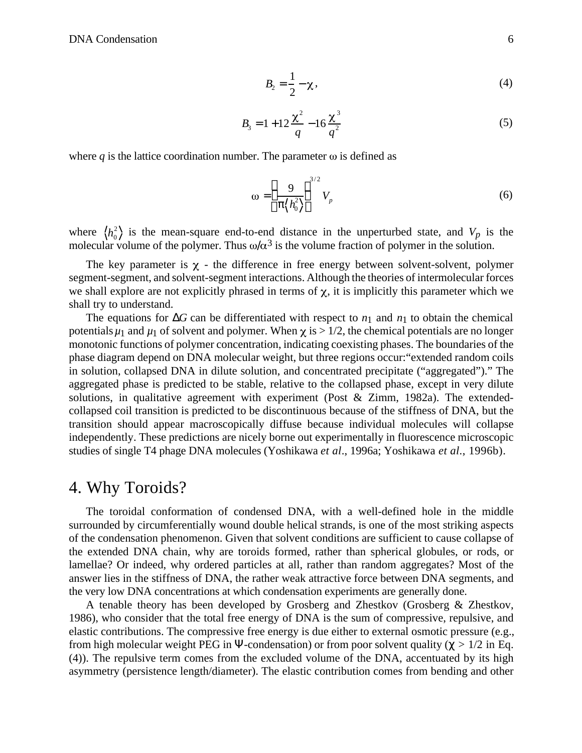$$
B_2 = \frac{1}{2} - \chi, \qquad (4)
$$

$$
B_3 = 1 + 12 \frac{\chi^2}{q} - 16 \frac{\chi^3}{q^2}
$$
 (5)

where  $q$  is the lattice coordination number. The parameter  $\omega$  is defined as

$$
\omega = \frac{9}{\left\langle h_0^2 \right\rangle}^{3/2} V_p \tag{6}
$$

where  $\langle h_0^2 \rangle$  is the mean-square end-to-end distance in the unperturbed state, and  $V_p$  is the molecular volume of the polymer. Thus  $\omega/\alpha^3$  is the volume fraction of polymer in the solution.

The key parameter is  $\chi$  - the difference in free energy between solvent-solvent, polymer segment-segment, and solvent-segment interactions. Although the theories of intermolecular forces we shall explore are not explicitly phrased in terms of  $\chi$ , it is implicitly this parameter which we shall try to understand.

The equations for *G* can be differentiated with respect to  $n_1$  and  $n_1$  to obtain the chemical potentials  $\mu_1$  and  $\mu_1$  of solvent and polymer. When  $\chi$  is  $> 1/2$ , the chemical potentials are no longer monotonic functions of polymer concentration, indicating coexisting phases. The boundaries of the phase diagram depend on DNA molecular weight, but three regions occur:"extended random coils in solution, collapsed DNA in dilute solution, and concentrated precipitate ("aggregated")." The aggregated phase is predicted to be stable, relative to the collapsed phase, except in very dilute solutions, in qualitative agreement with experiment (Post  $\&$  Zimm, 1982a). The extendedcollapsed coil transition is predicted to be discontinuous because of the stiffness of DNA, but the transition should appear macroscopically diffuse because individual molecules will collapse independently. These predictions are nicely borne out experimentally in fluorescence microscopic studies of single T4 phage DNA molecules (Yoshikawa *et al*., 1996a; Yoshikawa *et al*., 1996b).

### 4. Why Toroids?

The toroidal conformation of condensed DNA, with a well-defined hole in the middle surrounded by circumferentially wound double helical strands, is one of the most striking aspects of the condensation phenomenon. Given that solvent conditions are sufficient to cause collapse of the extended DNA chain, why are toroids formed, rather than spherical globules, or rods, or lamellae? Or indeed, why ordered particles at all, rather than random aggregates? Most of the answer lies in the stiffness of DNA, the rather weak attractive force between DNA segments, and the very low DNA concentrations at which condensation experiments are generally done.

A tenable theory has been developed by Grosberg and Zhestkov (Grosberg & Zhestkov, 1986), who consider that the total free energy of DNA is the sum of compressive, repulsive, and elastic contributions. The compressive free energy is due either to external osmotic pressure (e.g., from high molecular weight PEG in -condensation) or from poor solvent quality ( $>1/2$  in Eq. (4)). The repulsive term comes from the excluded volume of the DNA, accentuated by its high asymmetry (persistence length/diameter). The elastic contribution comes from bending and other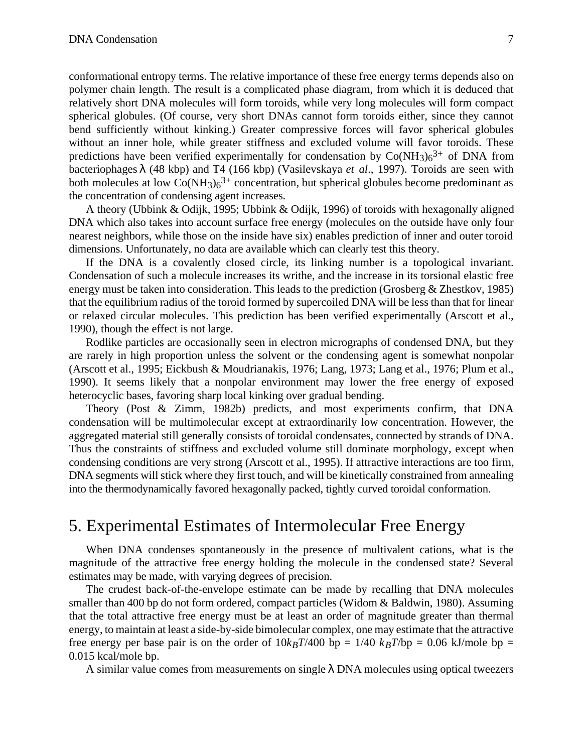conformational entropy terms. The relative importance of these free energy terms depends also on polymer chain length. The result is a complicated phase diagram, from which it is deduced that relatively short DNA molecules will form toroids, while very long molecules will form compact spherical globules. (Of course, very short DNAs cannot form toroids either, since they cannot bend sufficiently without kinking.) Greater compressive forces will favor spherical globules without an inner hole, while greater stiffness and excluded volume will favor toroids. These predictions have been verified experimentally for condensation by  $Co(NH<sub>3</sub>)<sub>6</sub><sup>3+</sup>$  of DNA from bacteriophages (48 kbp) and T4 (166 kbp) (Vasilevskaya *et al*., 1997). Toroids are seen with both molecules at low  $Co(NH_3)_6^{3+}$  concentration, but spherical globules become predominant as the concentration of condensing agent increases.

A theory (Ubbink & Odijk, 1995; Ubbink & Odijk, 1996) of toroids with hexagonally aligned DNA which also takes into account surface free energy (molecules on the outside have only four nearest neighbors, while those on the inside have six) enables prediction of inner and outer toroid dimensions. Unfortunately, no data are available which can clearly test this theory.

If the DNA is a covalently closed circle, its linking number is a topological invariant. Condensation of such a molecule increases its writhe, and the increase in its torsional elastic free energy must be taken into consideration. This leads to the prediction (Grosberg & Zhestkov, 1985) that the equilibrium radius of the toroid formed by supercoiled DNA will be less than that for linear or relaxed circular molecules. This prediction has been verified experimentally (Arscott et al., 1990), though the effect is not large.

Rodlike particles are occasionally seen in electron micrographs of condensed DNA, but they are rarely in high proportion unless the solvent or the condensing agent is somewhat nonpolar (Arscott et al., 1995; Eickbush & Moudrianakis, 1976; Lang, 1973; Lang et al., 1976; Plum et al., 1990). It seems likely that a nonpolar environment may lower the free energy of exposed heterocyclic bases, favoring sharp local kinking over gradual bending.

Theory (Post & Zimm, 1982b) predicts, and most experiments confirm, that DNA condensation will be multimolecular except at extraordinarily low concentration. However, the aggregated material still generally consists of toroidal condensates, connected by strands of DNA. Thus the constraints of stiffness and excluded volume still dominate morphology, except when condensing conditions are very strong (Arscott et al., 1995). If attractive interactions are too firm, DNA segments will stick where they first touch, and will be kinetically constrained from annealing into the thermodynamically favored hexagonally packed, tightly curved toroidal conformation.

### 5. Experimental Estimates of Intermolecular Free Energy

When DNA condenses spontaneously in the presence of multivalent cations, what is the magnitude of the attractive free energy holding the molecule in the condensed state? Several estimates may be made, with varying degrees of precision.

The crudest back-of-the-envelope estimate can be made by recalling that DNA molecules smaller than 400 bp do not form ordered, compact particles (Widom & Baldwin, 1980). Assuming that the total attractive free energy must be at least an order of magnitude greater than thermal energy, to maintain at least a side-by-side bimolecular complex, one may estimate that the attractive free energy per base pair is on the order of  $10k_BT/400$  bp =  $1/40$   $k_BT/bp = 0.06$  kJ/mole bp = 0.015 kcal/mole bp.

A similar value comes from measurements on single DNA molecules using optical tweezers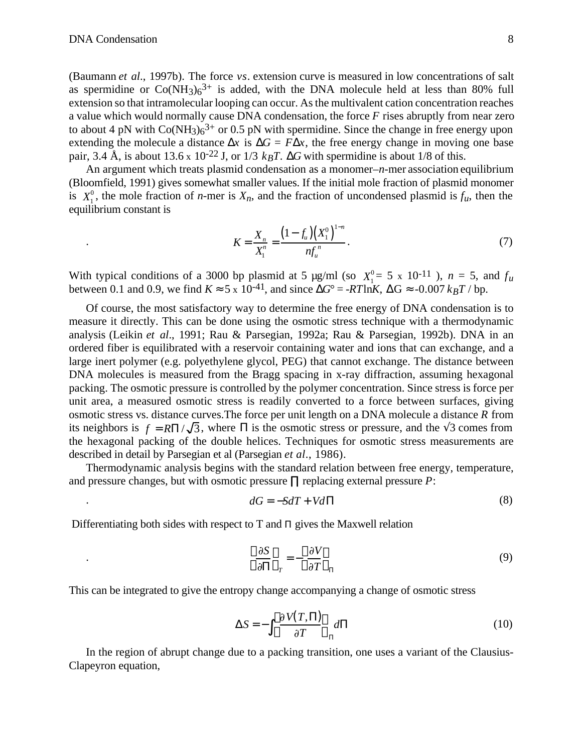.

(Baumann *et al*., 1997b). The force *vs*. extension curve is measured in low concentrations of salt as spermidine or  $Co(NH_3)_6^{3+}$  is added, with the DNA molecule held at less than 80% full extension so that intramolecular looping can occur. As the multivalent cation concentration reaches a value which would normally cause DNA condensation, the force *F* rises abruptly from near zero to about 4 pN with  $Co(NH_3)_6^{3+}$  or 0.5 pN with spermidine. Since the change in free energy upon extending the molecule a distance *x* is  $G = F x$ , the free energy change in moving one base pair, 3.4 Å, is about 13.6 x 10<sup>-22</sup> J, or 1/3  $k_B T$ . *G* with spermidine is about 1/8 of this.

An argument which treats plasmid condensation as a monomer–*n*-mer association equilibrium (Bloomfield, 1991) gives somewhat smaller values. If the initial mole fraction of plasmid monomer is  $X_1^0$ , the mole fraction of *n*-mer is  $X_n$ , and the fraction of uncondensed plasmid is  $f_u$ , then the equilibrium constant is

$$
K = \frac{X_n}{X_1^n} = \frac{\left(1 - f_u\right)\left(X_1^0\right)^{1-n}}{nf_u^n}.
$$
\n(7)

With typical conditions of a 3000 bp plasmid at 5  $\mu$ g/ml (so  $X_1^0 = 5 \times 10^{-11}$ ),  $n = 5$ , and  $f_u$ between 0.1 and 0.9, we find *K* 5 x 10<sup>-41</sup>, and since  $G^{\circ} = -RT\ln K$ , G -0.007  $k_BT / \text{bp}$ .

Of course, the most satisfactory way to determine the free energy of DNA condensation is to measure it directly. This can be done using the osmotic stress technique with a thermodynamic analysis (Leikin *et al*., 1991; Rau & Parsegian, 1992a; Rau & Parsegian, 1992b). DNA in an ordered fiber is equilibrated with a reservoir containing water and ions that can exchange, and a large inert polymer (e.g. polyethylene glycol, PEG) that cannot exchange. The distance between DNA molecules is measured from the Bragg spacing in x-ray diffraction, assuming hexagonal packing. The osmotic pressure is controlled by the polymer concentration. Since stress is force per unit area, a measured osmotic stress is readily converted to a force between surfaces, giving osmotic stress vs. distance curves.The force per unit length on a DNA molecule a distance *R* from its neighbors is  $f = R / \sqrt{3}$ , where is the osmotic stress or pressure, and the 3 comes from the hexagonal packing of the double helices. Techniques for osmotic stress measurements are described in detail by Parsegian et al (Parsegian *et al*., 1986).

Thermodynamic analysis begins with the standard relation between free energy, temperature, and pressure changes, but with osmotic pressure replacing external pressure *P*:

$$
dG = -SdT + Vd \tag{8}
$$

Differentiating both sides with respect to  $T$  and gives the Maxwell relation

$$
\frac{\partial S}{\partial r} = -\frac{\partial V}{\partial T} \tag{9}
$$

This can be integrated to give the entropy change accompanying a change of osmotic stress

$$
S = -\frac{\partial V(T, \cdot)}{\partial T} d \tag{10}
$$

In the region of abrupt change due to a packing transition, one uses a variant of the Clausius-Clapeyron equation,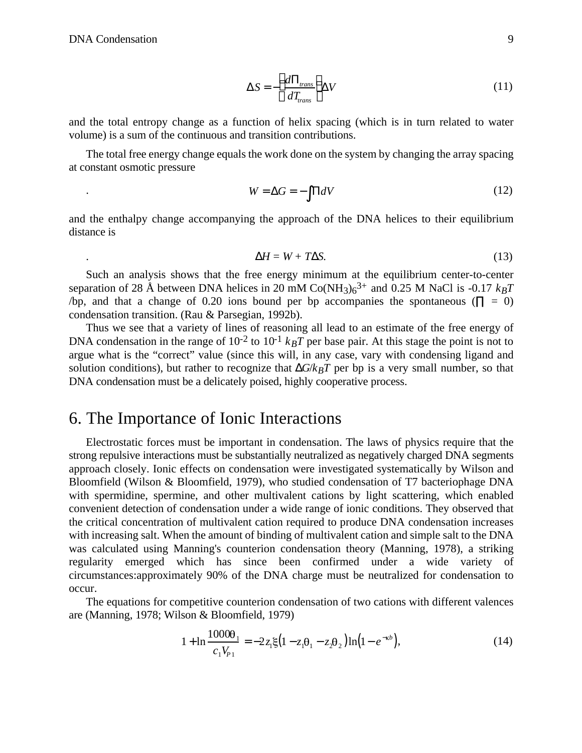$$
S = -\frac{d_{trans}}{dT_{trans}} V \tag{11}
$$

and the total entropy change as a function of helix spacing (which is in turn related to water volume) is a sum of the continuous and transition contributions.

The total free energy change equals the work done on the system by changing the array spacing at constant osmotic pressure

$$
W = G = -dV \tag{12}
$$

and the enthalpy change accompanying the approach of the DNA helices to their equilibrium distance is

$$
H = W + T \quad S. \tag{13}
$$

Such an analysis shows that the free energy minimum at the equilibrium center-to-center separation of 28 Å between DNA helices in 20 mM  $Co(NH_3)6^{3+}$  and 0.25 M NaCl is -0.17  $k_BT$ /bp, and that a change of 0.20 ions bound per bp accompanies the spontaneous  $( = 0)$ condensation transition. (Rau & Parsegian, 1992b).

Thus we see that a variety of lines of reasoning all lead to an estimate of the free energy of DNA condensation in the range of  $10^{-2}$  to  $10^{-1}$   $k_BT$  per base pair. At this stage the point is not to argue what is the "correct" value (since this will, in any case, vary with condensing ligand and solution conditions), but rather to recognize that  $G/k_BT$  per bp is a very small number, so that DNA condensation must be a delicately poised, highly cooperative process.

## 6. The Importance of Ionic Interactions

Electrostatic forces must be important in condensation. The laws of physics require that the strong repulsive interactions must be substantially neutralized as negatively charged DNA segments approach closely. Ionic effects on condensation were investigated systematically by Wilson and Bloomfield (Wilson & Bloomfield, 1979), who studied condensation of T7 bacteriophage DNA with spermidine, spermine, and other multivalent cations by light scattering, which enabled convenient detection of condensation under a wide range of ionic conditions. They observed that the critical concentration of multivalent cation required to produce DNA condensation increases with increasing salt. When the amount of binding of multivalent cation and simple salt to the DNA was calculated using Manning's counterion condensation theory (Manning, 1978), a striking regularity emerged which has since been confirmed under a wide variety of circumstances:approximately 90% of the DNA charge must be neutralized for condensation to occur.

The equations for competitive counterion condensation of two cations with different valences are (Manning, 1978; Wilson & Bloomfield, 1979)

$$
1 + \ln \frac{1000\theta_1}{c_1 V_{p_1}} = -2z_1 \xi \left(1 - z_1 \theta_1 - z_2 \theta_2\right) \ln \left(1 - e^{-\kappa b}\right),\tag{14}
$$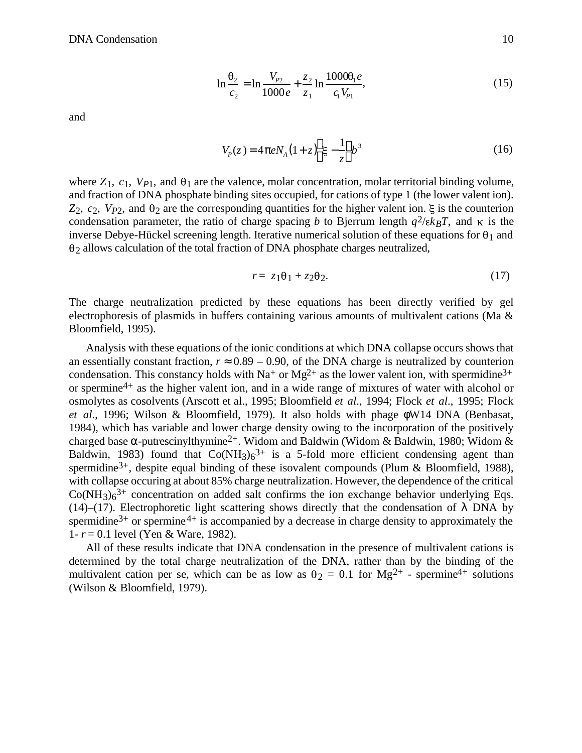$$
\ln \frac{\theta_2}{c_2} = \ln \frac{V_{p_2}}{1000e} + \frac{z_2}{z_1} \ln \frac{1000\theta_1 e}{c_1 V_{p_1}},
$$
\n(15)

and

$$
V_p(z) = 4 eN_A(1+z) \xi - \frac{1}{z} b^3
$$
 (16)

where  $Z_1$ ,  $c_1$ ,  $V_{P1}$ , and  $\theta_1$  are the valence, molar concentration, molar territorial binding volume, and fraction of DNA phosphate binding sites occupied, for cations of type 1 (the lower valent ion).  $Z_2$ ,  $c_2$ ,  $V_{P2}$ , and  $\theta_2$  are the corresponding quantities for the higher valent ion.  $\xi$  is the counterion condensation parameter, the ratio of charge spacing *b* to Bjerrum length  $q^2/\epsilon k_B T$ , and  $\kappa$  is the inverse Debye-Hückel screening length. Iterative numerical solution of these equations for  $\theta_1$  and  $\theta_2$  allows calculation of the total fraction of DNA phosphate charges neutralized,

$$
r = z_1 \theta_1 + z_2 \theta_2. \tag{17}
$$

The charge neutralization predicted by these equations has been directly verified by gel electrophoresis of plasmids in buffers containing various amounts of multivalent cations (Ma & Bloomfield, 1995).

Analysis with these equations of the ionic conditions at which DNA collapse occurs shows that an essentially constant fraction,  $r = 0.89 - 0.90$ , of the DNA charge is neutralized by counterion condensation. This constancy holds with Na<sup>+</sup> or Mg<sup>2+</sup> as the lower valent ion, with spermidine<sup>3+</sup> or spermine4+ as the higher valent ion, and in a wide range of mixtures of water with alcohol or osmolytes as cosolvents (Arscott et al., 1995; Bloomfield *et al*., 1994; Flock *et al*., 1995; Flock *et al*., 1996; Wilson & Bloomfield, 1979). It also holds with phage W14 DNA (Benbasat, 1984), which has variable and lower charge density owing to the incorporation of the positively charged base -putrescinylthymine<sup>2+</sup>. Widom and Baldwin (Widom & Baldwin, 1980; Widom & Baldwin, 1983) found that  $Co(NH_3)_6^{3+}$  is a 5-fold more efficient condensing agent than spermidine<sup>3+</sup>, despite equal binding of these isovalent compounds (Plum & Bloomfield, 1988), with collapse occuring at about 85% charge neutralization. However, the dependence of the critical  $Co(NH<sub>3</sub>)<sub>6</sub><sup>3+</sup>$  concentration on added salt confirms the ion exchange behavior underlying Eqs. (14)–(17). Electrophoretic light scattering shows directly that the condensation of DNA by spermidine<sup>3+</sup> or spermine<sup>4+</sup> is accompanied by a decrease in charge density to approximately the 1- *r* = 0.1 level (Yen & Ware, 1982).

All of these results indicate that DNA condensation in the presence of multivalent cations is determined by the total charge neutralization of the DNA, rather than by the binding of the multivalent cation per se, which can be as low as  $\theta_2 = 0.1$  for Mg<sup>2+</sup> - spermine<sup>4+</sup> solutions (Wilson & Bloomfield, 1979).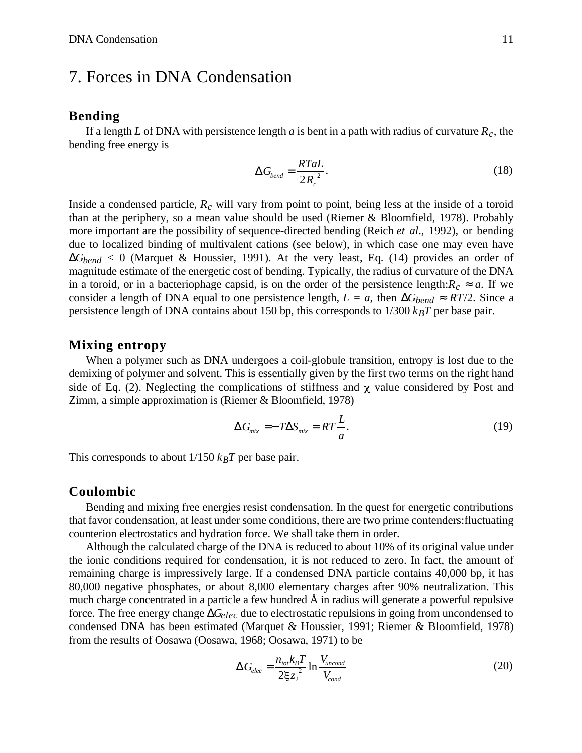# 7. Forces in DNA Condensation

#### **Bending**

If a length *L* of DNA with persistence length *a* is bent in a path with radius of curvature  $R_c$ , the bending free energy is

$$
G_{bend} = \frac{RT a L}{2R_c^2}.
$$
 (18)

Inside a condensed particle, *Rc* will vary from point to point, being less at the inside of a toroid than at the periphery, so a mean value should be used (Riemer & Bloomfield, 1978). Probably more important are the possibility of sequence-directed bending (Reich *et al*., 1992), or bending due to localized binding of multivalent cations (see below), in which case one may even have  $G_{bend} < 0$  (Marquet & Houssier, 1991). At the very least, Eq. (14) provides an order of magnitude estimate of the energetic cost of bending. Typically, the radius of curvature of the DNA

in a toroid, or in a bacteriophage capsid, is on the order of the persistence length: $R_c$  *a*. If we consider a length of DNA equal to one persistence length,  $L = a$ , then  $G_{bend}$  *RT/2*. Since a persistence length of DNA contains about 150 bp, this corresponds to  $1/300$   $k_BT$  per base pair.

#### **Mixing entropy**

When a polymer such as DNA undergoes a coil-globule transition, entropy is lost due to the demixing of polymer and solvent. This is essentially given by the first two terms on the right hand side of Eq. (2). Neglecting the complications of stiffness and  $\chi$  value considered by Post and Zimm, a simple approximation is (Riemer & Bloomfield, 1978)

$$
G_{mix} = -T \ S_{mix} = RT \frac{L}{a}.
$$
 (19)

This corresponds to about  $1/150$   $k_BT$  per base pair.

#### **Coulombic**

Bending and mixing free energies resist condensation. In the quest for energetic contributions that favor condensation, at least under some conditions, there are two prime contenders:fluctuating counterion electrostatics and hydration force. We shall take them in order.

Although the calculated charge of the DNA is reduced to about 10% of its original value under the ionic conditions required for condensation, it is not reduced to zero. In fact, the amount of remaining charge is impressively large. If a condensed DNA particle contains 40,000 bp, it has 80,000 negative phosphates, or about 8,000 elementary charges after 90% neutralization. This much charge concentrated in a particle a few hundred Å in radius will generate a powerful repulsive force. The free energy change *Gelec* due to electrostatic repulsions in going from uncondensed to condensed DNA has been estimated (Marquet & Houssier, 1991; Riemer & Bloomfield, 1978) from the results of Oosawa (Oosawa, 1968; Oosawa, 1971) to be

$$
G_{elec} = \frac{n_{tot}k_B T}{2\xi z_2^2} \ln \frac{V_{uncond}}{V_{cond}}
$$
 (20)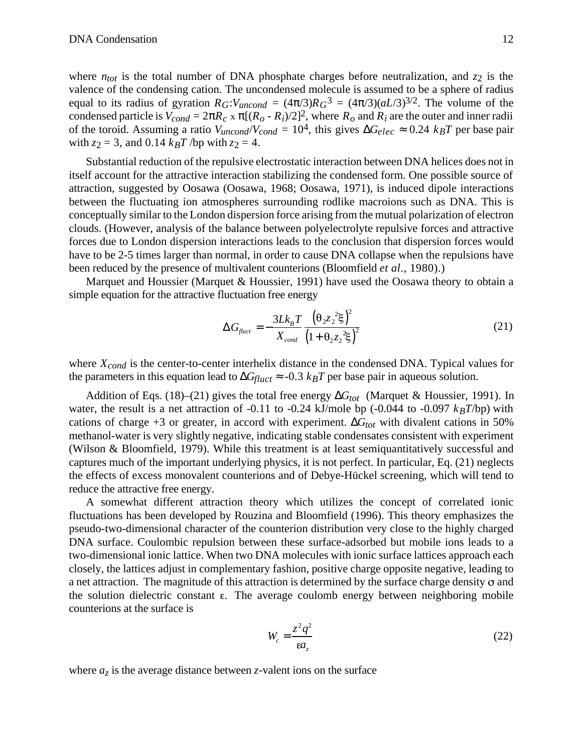where  $n_{tot}$  is the total number of DNA phosphate charges before neutralization, and  $z_2$  is the valence of the condensing cation. The uncondensed molecule is assumed to be a sphere of radius equal to its radius of gyration  $R_G$ : $V_{uncond} = (4 \text{ } \text{/}3)R_G$ <sup>3</sup> =  $(4 \text{ } \text{/}3)(aL/3)^{3/2}$ . The volume of the condensed particle is  $V_{cond} = 2$   $R_c$  x  $[(R_o - R_i)/2]^2$ , where  $R_o$  and  $R_i$  are the outer and inner radii of the toroid. Assuming a ratio  $V_{uncond}/V_{cond} = 10^4$ , this gives  $G_{elec} = 0.24$   $k_B T$  per base pair with  $z_2 = 3$ , and 0.14  $k_B T$  /bp with  $z_2 = 4$ .

Substantial reduction of the repulsive electrostatic interaction between DNA helices does not in itself account for the attractive interaction stabilizing the condensed form. One possible source of attraction, suggested by Oosawa (Oosawa, 1968; Oosawa, 1971), is induced dipole interactions between the fluctuating ion atmospheres surrounding rodlike macroions such as DNA. This is conceptually similar to the London dispersion force arising from the mutual polarization of electron clouds. (However, analysis of the balance between polyelectrolyte repulsive forces and attractive forces due to London dispersion interactions leads to the conclusion that dispersion forces would have to be 2-5 times larger than normal, in order to cause DNA collapse when the repulsions have been reduced by the presence of multivalent counterions (Bloomfield *et al*., 1980).)

Marquet and Houssier (Marquet & Houssier, 1991) have used the Oosawa theory to obtain a simple equation for the attractive fluctuation free energy

$$
G_{fluct} = -\frac{3Lk_B T}{X_{cond}} \frac{\left(\theta_2 z_2^2 \xi\right)^2}{\left(1 + \theta_2 z_2^2 \xi\right)^2}
$$
(21)

where *Xcond* is the center-to-center interhelix distance in the condensed DNA. Typical values for the parameters in this equation lead to  $G_{fluct}$  -0.3  $k_B T$  per base pair in aqueous solution.

Addition of Eqs. (18)–(21) gives the total free energy *Gtot* (Marquet & Houssier, 1991). In water, the result is a net attraction of -0.11 to -0.24 kJ/mole bp (-0.044 to -0.097 *kBT*/bp) with cations of charge  $+3$  or greater, in accord with experiment.  $G_{tot}$  with divalent cations in 50% methanol-water is very slightly negative, indicating stable condensates consistent with experiment (Wilson & Bloomfield, 1979). While this treatment is at least semiquantitatively successful and captures much of the important underlying physics, it is not perfect. In particular, Eq. (21) neglects the effects of excess monovalent counterions and of Debye-Hückel screening, which will tend to reduce the attractive free energy.

A somewhat different attraction theory which utilizes the concept of correlated ionic fluctuations has been developed by Rouzina and Bloomfield (1996). This theory emphasizes the pseudo-two-dimensional character of the counterion distribution very close to the highly charged DNA surface. Coulombic repulsion between these surface-adsorbed but mobile ions leads to a two-dimensional ionic lattice. When two DNA molecules with ionic surface lattices approach each closely, the lattices adjust in complementary fashion, positive charge opposite negative, leading to a net attraction. The magnitude of this attraction is determined by the surface charge density  $\sigma$  and the solution dielectric constant  $\varepsilon$ . The average coulomb energy between neighboring mobile counterions at the surface is

$$
W_c = \frac{z^2 q^2}{\epsilon a_z} \tag{22}
$$

where  $a_z$  is the average distance between *z*-valent ions on the surface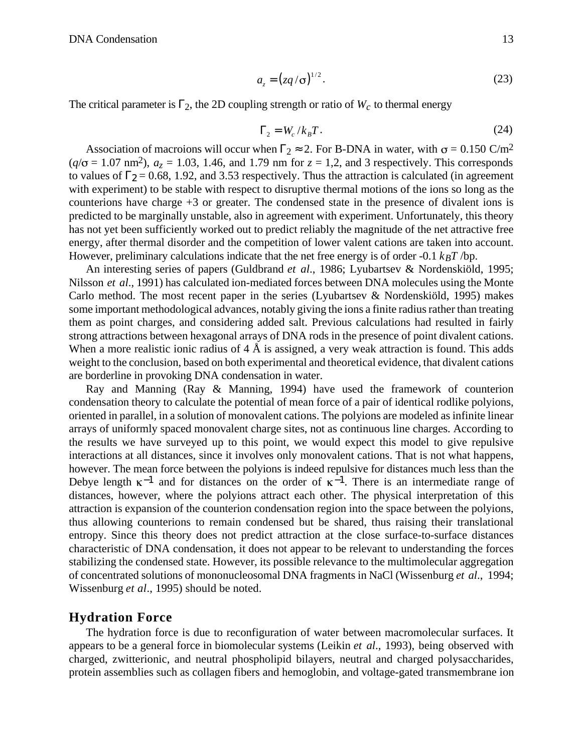$$
a_z = (zq/\sigma)^{1/2}.
$$
 (23)

The critical parameter is  $_2$ , the 2D coupling strength or ratio of  $W_c$  to thermal energy

$$
E_2 = W_c / k_B T. \tag{24}
$$

Association of macroions will occur when  $\frac{2}{2}$  2. For B-DNA in water, with  $\sigma = 0.150 \text{ C/m}^2$  $(q/\sigma = 1.07 \text{ nm}^2)$ ,  $a_z = 1.03$ , 1.46, and 1.79 nm for  $z = 1.2$ , and 3 respectively. This corresponds to values of  $z = 0.68$ , 1.92, and 3.53 respectively. Thus the attraction is calculated (in agreement with experiment) to be stable with respect to disruptive thermal motions of the ions so long as the counterions have charge +3 or greater. The condensed state in the presence of divalent ions is predicted to be marginally unstable, also in agreement with experiment. Unfortunately, this theory has not yet been sufficiently worked out to predict reliably the magnitude of the net attractive free energy, after thermal disorder and the competition of lower valent cations are taken into account. However, preliminary calculations indicate that the net free energy is of order -0.1 *kBT* /bp.

An interesting series of papers (Guldbrand *et al*., 1986; Lyubartsev & Nordenskiöld, 1995; Nilsson *et al*., 1991) has calculated ion-mediated forces between DNA molecules using the Monte Carlo method. The most recent paper in the series (Lyubartsev & Nordenskiöld, 1995) makes some important methodological advances, notably giving the ions a finite radius rather than treating them as point charges, and considering added salt. Previous calculations had resulted in fairly strong attractions between hexagonal arrays of DNA rods in the presence of point divalent cations. When a more realistic ionic radius of  $4 \text{ Å}$  is assigned, a very weak attraction is found. This adds weight to the conclusion, based on both experimental and theoretical evidence, that divalent cations are borderline in provoking DNA condensation in water.

Ray and Manning (Ray & Manning, 1994) have used the framework of counterion condensation theory to calculate the potential of mean force of a pair of identical rodlike polyions, oriented in parallel, in a solution of monovalent cations. The polyions are modeled as infinite linear arrays of uniformly spaced monovalent charge sites, not as continuous line charges. According to the results we have surveyed up to this point, we would expect this model to give repulsive interactions at all distances, since it involves only monovalent cations. That is not what happens, however. The mean force between the polyions is indeed repulsive for distances much less than the Debye length  $\kappa^{-1}$  and for distances on the order of  $\kappa^{-1}$ . There is an intermediate range of distances, however, where the polyions attract each other. The physical interpretation of this attraction is expansion of the counterion condensation region into the space between the polyions, thus allowing counterions to remain condensed but be shared, thus raising their translational entropy. Since this theory does not predict attraction at the close surface-to-surface distances characteristic of DNA condensation, it does not appear to be relevant to understanding the forces stabilizing the condensed state. However, its possible relevance to the multimolecular aggregation of concentrated solutions of mononucleosomal DNA fragments in NaCl (Wissenburg *et al*., 1994; Wissenburg *et al*., 1995) should be noted.

#### **Hydration Force**

The hydration force is due to reconfiguration of water between macromolecular surfaces. It appears to be a general force in biomolecular systems (Leikin *et al*., 1993), being observed with charged, zwitterionic, and neutral phospholipid bilayers, neutral and charged polysaccharides, protein assemblies such as collagen fibers and hemoglobin, and voltage-gated transmembrane ion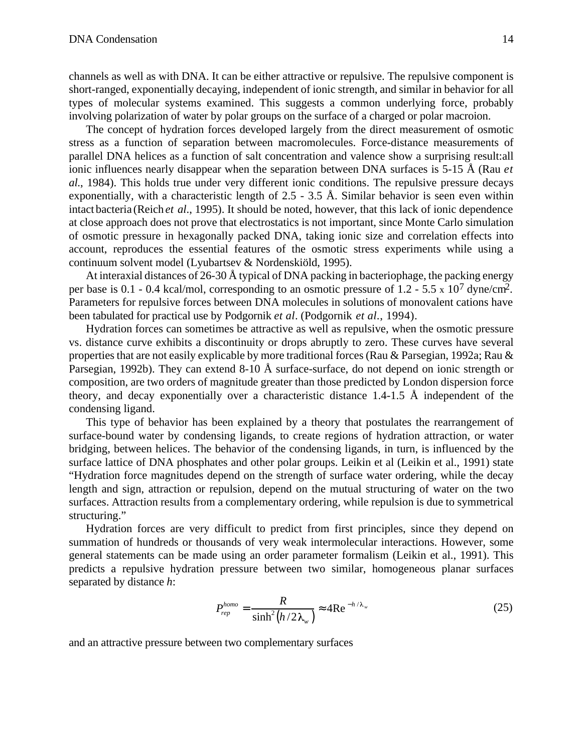channels as well as with DNA. It can be either attractive or repulsive. The repulsive component is short-ranged, exponentially decaying, independent of ionic strength, and similar in behavior for all types of molecular systems examined. This suggests a common underlying force, probably involving polarization of water by polar groups on the surface of a charged or polar macroion.

The concept of hydration forces developed largely from the direct measurement of osmotic stress as a function of separation between macromolecules. Force-distance measurements of parallel DNA helices as a function of salt concentration and valence show a surprising result:all ionic influences nearly disappear when the separation between DNA surfaces is 5-15 Å (Rau *et al*., 1984). This holds true under very different ionic conditions. The repulsive pressure decays exponentially, with a characteristic length of 2.5 - 3.5 Å. Similar behavior is seen even within intact bacteria (Reich *et al*., 1995). It should be noted, however, that this lack of ionic dependence at close approach does not prove that electrostatics is not important, since Monte Carlo simulation of osmotic pressure in hexagonally packed DNA, taking ionic size and correlation effects into account, reproduces the essential features of the osmotic stress experiments while using a continuum solvent model (Lyubartsev & Nordenskiöld, 1995).

At interaxial distances of 26-30 Å typical of DNA packing in bacteriophage, the packing energy per base is 0.1 - 0.4 kcal/mol, corresponding to an osmotic pressure of 1.2 - 5.5 x 107 dyne/cm2. Parameters for repulsive forces between DNA molecules in solutions of monovalent cations have been tabulated for practical use by Podgornik *et al*. (Podgornik *et al*., 1994).

Hydration forces can sometimes be attractive as well as repulsive, when the osmotic pressure vs. distance curve exhibits a discontinuity or drops abruptly to zero. These curves have several properties that are not easily explicable by more traditional forces (Rau & Parsegian, 1992a; Rau & Parsegian, 1992b). They can extend 8-10 Å surface-surface, do not depend on ionic strength or composition, are two orders of magnitude greater than those predicted by London dispersion force theory, and decay exponentially over a characteristic distance 1.4-1.5 Å independent of the condensing ligand.

This type of behavior has been explained by a theory that postulates the rearrangement of surface-bound water by condensing ligands, to create regions of hydration attraction, or water bridging, between helices. The behavior of the condensing ligands, in turn, is influenced by the surface lattice of DNA phosphates and other polar groups. Leikin et al (Leikin et al., 1991) state "Hydration force magnitudes depend on the strength of surface water ordering, while the decay length and sign, attraction or repulsion, depend on the mutual structuring of water on the two surfaces. Attraction results from a complementary ordering, while repulsion is due to symmetrical structuring."

Hydration forces are very difficult to predict from first principles, since they depend on summation of hundreds or thousands of very weak intermolecular interactions. However, some general statements can be made using an order parameter formalism (Leikin et al., 1991). This predicts a repulsive hydration pressure between two similar, homogeneous planar surfaces separated by distance *h*:

$$
P_{rep}^{homo} = \frac{R}{\sinh^2 \left( h/2\lambda_w \right)} \quad 4\text{Re}^{-h/\lambda_w} \tag{25}
$$

and an attractive pressure between two complementary surfaces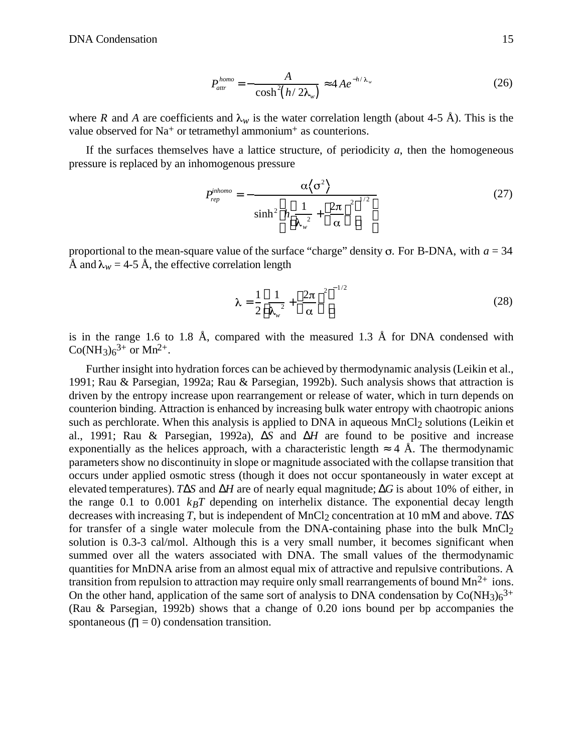$$
P_{\text{attr}}^{\text{homo}} = -\frac{A}{\cosh^2(h/2\lambda_w)} \quad 4Ae^{-h/\lambda_w} \tag{26}
$$

where *R* and *A* are coefficients and  $\lambda_w$  is the water correlation length (about 4-5 Å). This is the value observed for Na<sup>+</sup> or tetramethyl ammonium<sup>+</sup> as counterions.

If the surfaces themselves have a lattice structure, of periodicity  $a$ , then the homogeneous pressure is replaced by an inhomogenous pressure

$$
P_{rep}^{inhomo} = -\frac{\alpha \left\langle \sigma^2 \right\rangle}{\sinh^2 h \frac{1}{\lambda_w^2} + \frac{2\pi}{\alpha}}
$$
 (27)

proportional to the mean-square value of the surface "charge" density  $\sigma$ . For B-DNA, with  $a = 34$ Å and  $\lambda_w = 4$ -5 Å, the effective correlation length

$$
\lambda = \frac{1}{2} \frac{1}{\lambda_w^2} + \frac{2\pi}{\alpha}^{2} \tag{28}
$$

is in the range 1.6 to 1.8 Å, compared with the measured 1.3 Å for DNA condensed with  $Co(NH_3)_6^{3+}$  or  $Mn^{2+}$ .

Further insight into hydration forces can be achieved by thermodynamic analysis (Leikin et al., 1991; Rau & Parsegian, 1992a; Rau & Parsegian, 1992b). Such analysis shows that attraction is driven by the entropy increase upon rearrangement or release of water, which in turn depends on counterion binding. Attraction is enhanced by increasing bulk water entropy with chaotropic anions such as perchlorate. When this analysis is applied to DNA in aqueous  $MnCl<sub>2</sub>$  solutions (Leikin et al., 1991; Rau & Parsegian, 1992a), *S* and *H* are found to be positive and increase exponentially as the helices approach, with a characteristic length  $\alpha$  Å. The thermodynamic parameters show no discontinuity in slope or magnitude associated with the collapse transition that occurs under applied osmotic stress (though it does not occur spontaneously in water except at elevated temperatures). *T S* and *H* are of nearly equal magnitude; *G* is about 10% of either, in the range 0.1 to 0.001  $k_B T$  depending on interhelix distance. The exponential decay length decreases with increasing *T*, but is independent of MnCl<sub>2</sub> concentration at 10 mM and above. *T S* for transfer of a single water molecule from the DNA-containing phase into the bulk  $MnCl<sub>2</sub>$ solution is 0.3-3 cal/mol. Although this is a very small number, it becomes significant when summed over all the waters associated with DNA. The small values of the thermodynamic quantities for MnDNA arise from an almost equal mix of attractive and repulsive contributions. A transition from repulsion to attraction may require only small rearrangements of bound  $Mn^{2+}$  ions. On the other hand, application of the same sort of analysis to DNA condensation by  $Co(NH_3)_6^{3+}$ (Rau & Parsegian, 1992b) shows that a change of 0.20 ions bound per bp accompanies the spontaneous  $( = 0)$  condensation transition.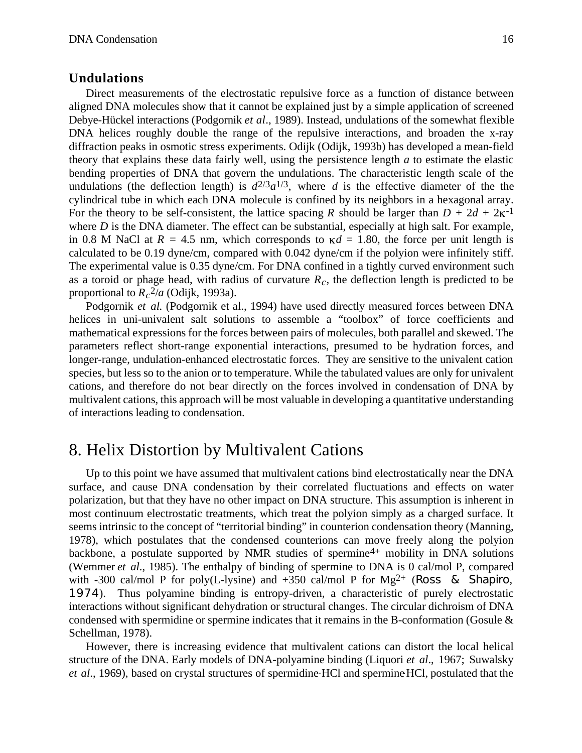#### **Undulations**

Direct measurements of the electrostatic repulsive force as a function of distance between aligned DNA molecules show that it cannot be explained just by a simple application of screened Debye-Hückel interactions (Podgornik *et al*., 1989). Instead, undulations of the somewhat flexible DNA helices roughly double the range of the repulsive interactions, and broaden the x-ray diffraction peaks in osmotic stress experiments. Odijk (Odijk, 1993b) has developed a mean-field theory that explains these data fairly well, using the persistence length *a* to estimate the elastic bending properties of DNA that govern the undulations. The characteristic length scale of the undulations (the deflection length) is  $d^{2/3}a^{1/3}$ , where *d* is the effective diameter of the the cylindrical tube in which each DNA molecule is confined by its neighbors in a hexagonal array. For the theory to be self-consistent, the lattice spacing *R* should be larger than  $D + 2d + 2k^{-1}$ where *D* is the DNA diameter. The effect can be substantial, especially at high salt. For example, in 0.8 M NaCl at  $R = 4.5$  nm, which corresponds to  $\kappa d = 1.80$ , the force per unit length is calculated to be 0.19 dyne/cm, compared with 0.042 dyne/cm if the polyion were infinitely stiff. The experimental value is 0.35 dyne/cm. For DNA confined in a tightly curved environment such as a toroid or phage head, with radius of curvature  $R_c$ , the deflection length is predicted to be proportional to  $R_c^2/a$  (Odijk, 1993a).

Podgornik *et al.* (Podgornik et al., 1994) have used directly measured forces between DNA helices in uni-univalent salt solutions to assemble a "toolbox" of force coefficients and mathematical expressions for the forces between pairs of molecules, both parallel and skewed. The parameters reflect short-range exponential interactions, presumed to be hydration forces, and longer-range, undulation-enhanced electrostatic forces. They are sensitive to the univalent cation species, but less so to the anion or to temperature. While the tabulated values are only for univalent cations, and therefore do not bear directly on the forces involved in condensation of DNA by multivalent cations, this approach will be most valuable in developing a quantitative understanding of interactions leading to condensation.

## 8. Helix Distortion by Multivalent Cations

Up to this point we have assumed that multivalent cations bind electrostatically near the DNA surface, and cause DNA condensation by their correlated fluctuations and effects on water polarization, but that they have no other impact on DNA structure. This assumption is inherent in most continuum electrostatic treatments, which treat the polyion simply as a charged surface. It seems intrinsic to the concept of "territorial binding" in counterion condensation theory (Manning, 1978), which postulates that the condensed counterions can move freely along the polyion backbone, a postulate supported by NMR studies of spermine<sup>4+</sup> mobility in DNA solutions (Wemmer *et al*., 1985). The enthalpy of binding of spermine to DNA is 0 cal/mol P, compared with -300 cal/mol P for poly(L-lysine) and  $+350$  cal/mol P for Mg<sup>2+</sup> (Ross & Shapiro, 1974). Thus polyamine binding is entropy-driven, a characteristic of purely electrostatic interactions without significant dehydration or structural changes. The circular dichroism of DNA condensed with spermidine or spermine indicates that it remains in the B-conformation (Gosule & Schellman, 1978).

However, there is increasing evidence that multivalent cations can distort the local helical structure of the DNA. Early models of DNA-polyamine binding (Liquori *et al*., 1967; Suwalsky *et al.*, 1969), based on crystal structures of spermidine HCl and spermine HCl, postulated that the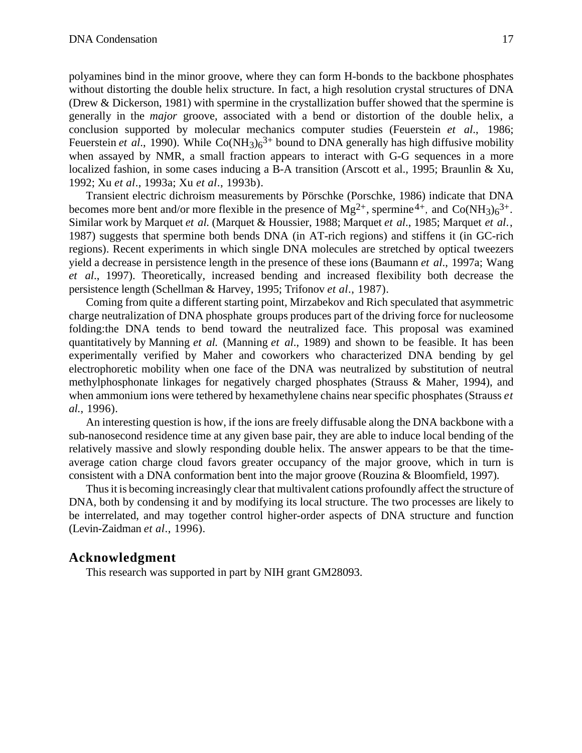polyamines bind in the minor groove, where they can form H-bonds to the backbone phosphates without distorting the double helix structure. In fact, a high resolution crystal structures of DNA (Drew & Dickerson, 1981) with spermine in the crystallization buffer showed that the spermine is generally in the *major* groove, associated with a bend or distortion of the double helix, a conclusion supported by molecular mechanics computer studies (Feuerstein *et al*., 1986; Feuerstein *et al.*, 1990). While Co(NH<sub>3</sub>)<sub>6</sub><sup>3+</sup> bound to DNA generally has high diffusive mobility when assayed by NMR, a small fraction appears to interact with G-G sequences in a more localized fashion, in some cases inducing a B-A transition (Arscott et al., 1995; Braunlin & Xu, 1992; Xu *et al*., 1993a; Xu *et al*., 1993b).

Transient electric dichroism measurements by Pörschke (Porschke, 1986) indicate that DNA becomes more bent and/or more flexible in the presence of  $Mg^{2+}$ , spermine<sup>4+</sup>, and  $Co(NH_3)6^{3+}$ . Similar work by Marquet *et al.* (Marquet & Houssier, 1988; Marquet *et al*., 1985; Marquet *et al*., 1987) suggests that spermine both bends DNA (in AT-rich regions) and stiffens it (in GC-rich regions). Recent experiments in which single DNA molecules are stretched by optical tweezers yield a decrease in persistence length in the presence of these ions (Baumann *et al*., 1997a; Wang *et al*., 1997). Theoretically, increased bending and increased flexibility both decrease the persistence length (Schellman & Harvey, 1995; Trifonov *et al*., 1987).

Coming from quite a different starting point, Mirzabekov and Rich speculated that asymmetric charge neutralization of DNA phosphate groups produces part of the driving force for nucleosome folding:the DNA tends to bend toward the neutralized face. This proposal was examined quantitatively by Manning *et al.* (Manning *et al*., 1989) and shown to be feasible. It has been experimentally verified by Maher and coworkers who characterized DNA bending by gel electrophoretic mobility when one face of the DNA was neutralized by substitution of neutral methylphosphonate linkages for negatively charged phosphates (Strauss & Maher, 1994), and when ammonium ions were tethered by hexamethylene chains near specific phosphates (Strauss *et al*., 1996).

An interesting question is how, if the ions are freely diffusable along the DNA backbone with a sub-nanosecond residence time at any given base pair, they are able to induce local bending of the relatively massive and slowly responding double helix. The answer appears to be that the timeaverage cation charge cloud favors greater occupancy of the major groove, which in turn is consistent with a DNA conformation bent into the major groove (Rouzina & Bloomfield, 1997).

Thus it is becoming increasingly clear that multivalent cations profoundly affect the structure of DNA, both by condensing it and by modifying its local structure. The two processes are likely to be interrelated, and may together control higher-order aspects of DNA structure and function (Levin-Zaidman *et al*., 1996).

#### **Acknowledgment**

This research was supported in part by NIH grant GM28093.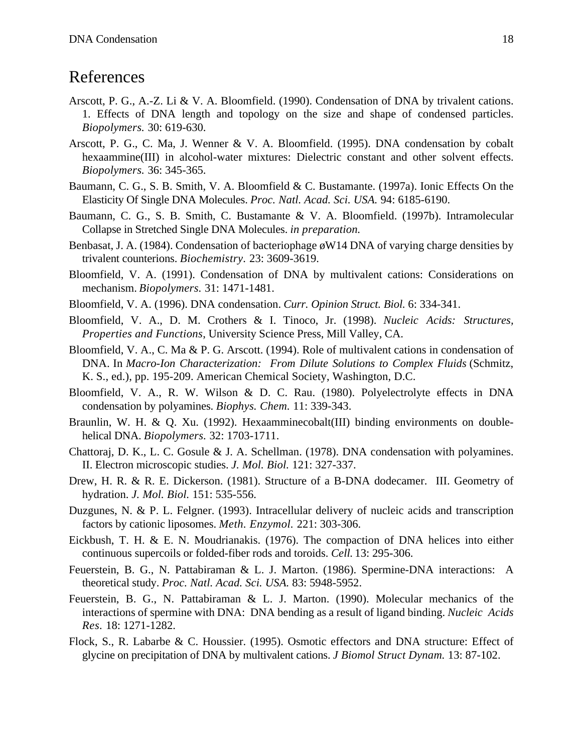# References

- Arscott, P. G., A.-Z. Li & V. A. Bloomfield. (1990). Condensation of DNA by trivalent cations. 1. Effects of DNA length and topology on the size and shape of condensed particles. *Biopolymers.* 30: 619-630.
- Arscott, P. G., C. Ma, J. Wenner & V. A. Bloomfield. (1995). DNA condensation by cobalt hexaammine(III) in alcohol-water mixtures: Dielectric constant and other solvent effects. *Biopolymers.* 36: 345-365.
- Baumann, C. G., S. B. Smith, V. A. Bloomfield & C. Bustamante. (1997a). Ionic Effects On the Elasticity Of Single DNA Molecules. *Proc. Natl. Acad. Sci. USA.* 94: 6185-6190.
- Baumann, C. G., S. B. Smith, C. Bustamante & V. A. Bloomfield. (1997b). Intramolecular Collapse in Stretched Single DNA Molecules. *in preparation.*
- Benbasat, J. A. (1984). Condensation of bacteriophage øW14 DNA of varying charge densities by trivalent counterions. *Biochemistry.* 23: 3609-3619.
- Bloomfield, V. A. (1991). Condensation of DNA by multivalent cations: Considerations on mechanism. *Biopolymers.* 31: 1471-1481.
- Bloomfield, V. A. (1996). DNA condensation. *Curr. Opinion Struct. Biol.* 6: 334-341.
- Bloomfield, V. A., D. M. Crothers & I. Tinoco, Jr. (1998). *Nucleic Acids: Structures, Properties and Functions*, University Science Press, Mill Valley, CA.
- Bloomfield, V. A., C. Ma & P. G. Arscott. (1994). Role of multivalent cations in condensation of DNA. In *Macro-Ion Characterization: From Dilute Solutions to Complex Fluids* (Schmitz, K. S., ed.), pp. 195-209. American Chemical Society, Washington, D.C.
- Bloomfield, V. A., R. W. Wilson & D. C. Rau. (1980). Polyelectrolyte effects in DNA condensation by polyamines. *Biophys. Chem.* 11: 339-343.
- Braunlin, W. H. & Q. Xu. (1992). Hexaamminecobalt(III) binding environments on doublehelical DNA. *Biopolymers.* 32: 1703-1711.
- Chattoraj, D. K., L. C. Gosule & J. A. Schellman. (1978). DNA condensation with polyamines. II. Electron microscopic studies. *J. Mol. Biol.* 121: 327-337.
- Drew, H. R. & R. E. Dickerson. (1981). Structure of a B-DNA dodecamer. III. Geometry of hydration. *J. Mol. Biol.* 151: 535-556.
- Duzgunes, N. & P. L. Felgner. (1993). Intracellular delivery of nucleic acids and transcription factors by cationic liposomes. *Meth. Enzymol.* 221: 303-306.
- Eickbush, T. H. & E. N. Moudrianakis. (1976). The compaction of DNA helices into either continuous supercoils or folded-fiber rods and toroids. *Cell.* 13: 295-306.
- Feuerstein, B. G., N. Pattabiraman & L. J. Marton. (1986). Spermine-DNA interactions: A theoretical study. *Proc. Natl. Acad. Sci. USA.* 83: 5948-5952.
- Feuerstein, B. G., N. Pattabiraman & L. J. Marton. (1990). Molecular mechanics of the interactions of spermine with DNA: DNA bending as a result of ligand binding. *Nucleic Acids Res.* 18: 1271-1282.
- Flock, S., R. Labarbe & C. Houssier. (1995). Osmotic effectors and DNA structure: Effect of glycine on precipitation of DNA by multivalent cations. *J Biomol Struct Dynam.* 13: 87-102.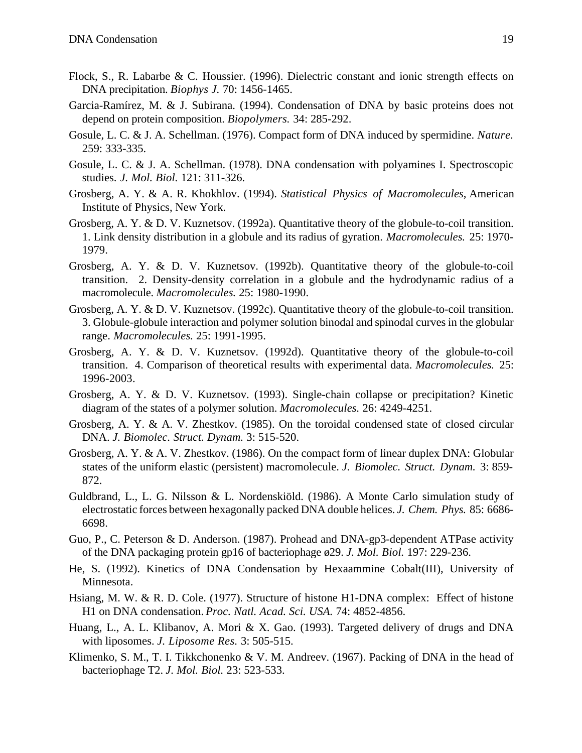- Flock, S., R. Labarbe & C. Houssier. (1996). Dielectric constant and ionic strength effects on DNA precipitation. *Biophys J.* 70: 1456-1465.
- Garcia-Ramírez, M. & J. Subirana. (1994). Condensation of DNA by basic proteins does not depend on protein composition. *Biopolymers.* 34: 285-292.
- Gosule, L. C. & J. A. Schellman. (1976). Compact form of DNA induced by spermidine. *Nature.* 259: 333-335.
- Gosule, L. C. & J. A. Schellman. (1978). DNA condensation with polyamines I. Spectroscopic studies. *J. Mol. Biol.* 121: 311-326.
- Grosberg, A. Y. & A. R. Khokhlov. (1994). *Statistical Physics of Macromolecules*, American Institute of Physics, New York.
- Grosberg, A. Y. & D. V. Kuznetsov. (1992a). Quantitative theory of the globule-to-coil transition. 1. Link density distribution in a globule and its radius of gyration. *Macromolecules.* 25: 1970- 1979.
- Grosberg, A. Y. & D. V. Kuznetsov. (1992b). Quantitative theory of the globule-to-coil transition. 2. Density-density correlation in a globule and the hydrodynamic radius of a macromolecule. *Macromolecules.* 25: 1980-1990.
- Grosberg, A. Y. & D. V. Kuznetsov. (1992c). Quantitative theory of the globule-to-coil transition. 3. Globule-globule interaction and polymer solution binodal and spinodal curves in the globular range. *Macromolecules.* 25: 1991-1995.
- Grosberg, A. Y. & D. V. Kuznetsov. (1992d). Quantitative theory of the globule-to-coil transition. 4. Comparison of theoretical results with experimental data. *Macromolecules.* 25: 1996-2003.
- Grosberg, A. Y. & D. V. Kuznetsov. (1993). Single-chain collapse or precipitation? Kinetic diagram of the states of a polymer solution. *Macromolecules.* 26: 4249-4251.
- Grosberg, A. Y. & A. V. Zhestkov. (1985). On the toroidal condensed state of closed circular DNA. *J. Biomolec. Struct. Dynam.* 3: 515-520.
- Grosberg, A. Y. & A. V. Zhestkov. (1986). On the compact form of linear duplex DNA: Globular states of the uniform elastic (persistent) macromolecule. *J. Biomolec. Struct. Dynam.* 3: 859- 872.
- Guldbrand, L., L. G. Nilsson & L. Nordenskiöld. (1986). A Monte Carlo simulation study of electrostatic forces between hexagonally packed DNA double helices. *J. Chem. Phys.* 85: 6686- 6698.
- Guo, P., C. Peterson & D. Anderson. (1987). Prohead and DNA-gp3-dependent ATPase activity of the DNA packaging protein gp16 of bacteriophage ø29. *J. Mol. Biol.* 197: 229-236.
- He, S. (1992). Kinetics of DNA Condensation by Hexaammine Cobalt(III), University of Minnesota.
- Hsiang, M. W. & R. D. Cole. (1977). Structure of histone H1-DNA complex: Effect of histone H1 on DNA condensation. *Proc. Natl. Acad. Sci. USA.* 74: 4852-4856.
- Huang, L., A. L. Klibanov, A. Mori & X. Gao. (1993). Targeted delivery of drugs and DNA with liposomes. *J. Liposome Res.* 3: 505-515.
- Klimenko, S. M., T. I. Tikkchonenko & V. M. Andreev. (1967). Packing of DNA in the head of bacteriophage T2. *J. Mol. Biol.* 23: 523-533.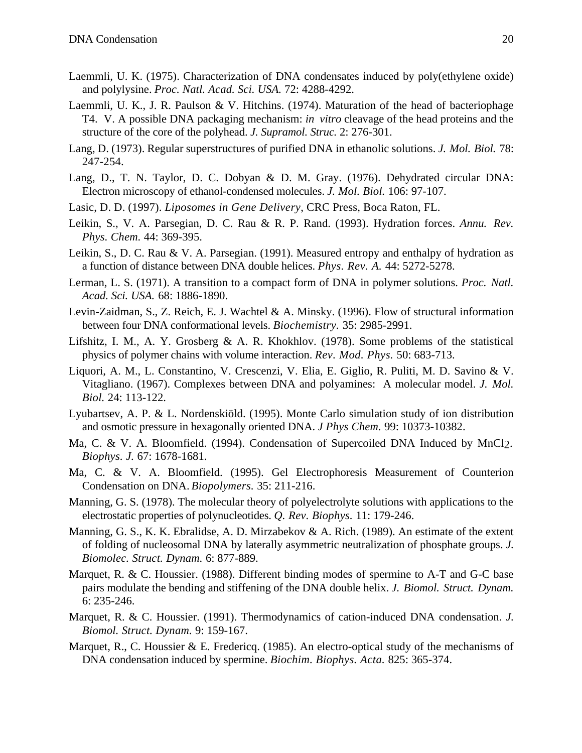- Laemmli, U. K. (1975). Characterization of DNA condensates induced by poly(ethylene oxide) and polylysine. *Proc. Natl. Acad. Sci. USA.* 72: 4288-4292.
- Laemmli, U. K., J. R. Paulson & V. Hitchins. (1974). Maturation of the head of bacteriophage T4. V. A possible DNA packaging mechanism: *in vitro* cleavage of the head proteins and the structure of the core of the polyhead. *J. Supramol. Struc.* 2: 276-301.
- Lang, D. (1973). Regular superstructures of purified DNA in ethanolic solutions. *J. Mol. Biol.* 78: 247-254.
- Lang, D., T. N. Taylor, D. C. Dobyan & D. M. Gray. (1976). Dehydrated circular DNA: Electron microscopy of ethanol-condensed molecules. *J. Mol. Biol.* 106: 97-107.
- Lasic, D. D. (1997). *Liposomes in Gene Delivery*, CRC Press, Boca Raton, FL.
- Leikin, S., V. A. Parsegian, D. C. Rau & R. P. Rand. (1993). Hydration forces. *Annu. Rev. Phys. Chem.* 44: 369-395.
- Leikin, S., D. C. Rau & V. A. Parsegian. (1991). Measured entropy and enthalpy of hydration as a function of distance between DNA double helices. *Phys. Rev. A.* 44: 5272-5278.
- Lerman, L. S. (1971). A transition to a compact form of DNA in polymer solutions. *Proc. Natl. Acad. Sci. USA.* 68: 1886-1890.
- Levin-Zaidman, S., Z. Reich, E. J. Wachtel & A. Minsky. (1996). Flow of structural information between four DNA conformational levels. *Biochemistry.* 35: 2985-2991.
- Lifshitz, I. M., A. Y. Grosberg & A. R. Khokhlov. (1978). Some problems of the statistical physics of polymer chains with volume interaction. *Rev. Mod. Phys.* 50: 683-713.
- Liquori, A. M., L. Constantino, V. Crescenzi, V. Elia, E. Giglio, R. Puliti, M. D. Savino & V. Vitagliano. (1967). Complexes between DNA and polyamines: A molecular model. *J. Mol. Biol.* 24: 113-122.
- Lyubartsev, A. P. & L. Nordenskiöld. (1995). Monte Carlo simulation study of ion distribution and osmotic pressure in hexagonally oriented DNA. *J Phys Chem.* 99: 10373-10382.
- Ma, C. & V. A. Bloomfield. (1994). Condensation of Supercoiled DNA Induced by MnCl<sub>2</sub>. *Biophys. J.* 67: 1678-1681.
- Ma, C. & V. A. Bloomfield. (1995). Gel Electrophoresis Measurement of Counterion Condensation on DNA. *Biopolymers.* 35: 211-216.
- Manning, G. S. (1978). The molecular theory of polyelectrolyte solutions with applications to the electrostatic properties of polynucleotides. *Q. Rev. Biophys.* 11: 179-246.
- Manning, G. S., K. K. Ebralidse, A. D. Mirzabekov & A. Rich. (1989). An estimate of the extent of folding of nucleosomal DNA by laterally asymmetric neutralization of phosphate groups. *J. Biomolec. Struct. Dynam.* 6: 877-889.
- Marquet, R. & C. Houssier. (1988). Different binding modes of spermine to A-T and G-C base pairs modulate the bending and stiffening of the DNA double helix. *J. Biomol. Struct. Dynam.* 6: 235-246.
- Marquet, R. & C. Houssier. (1991). Thermodynamics of cation-induced DNA condensation. *J. Biomol. Struct. Dynam.* 9: 159-167.
- Marquet, R., C. Houssier & E. Fredericq. (1985). An electro-optical study of the mechanisms of DNA condensation induced by spermine. *Biochim. Biophys. Acta.* 825: 365-374.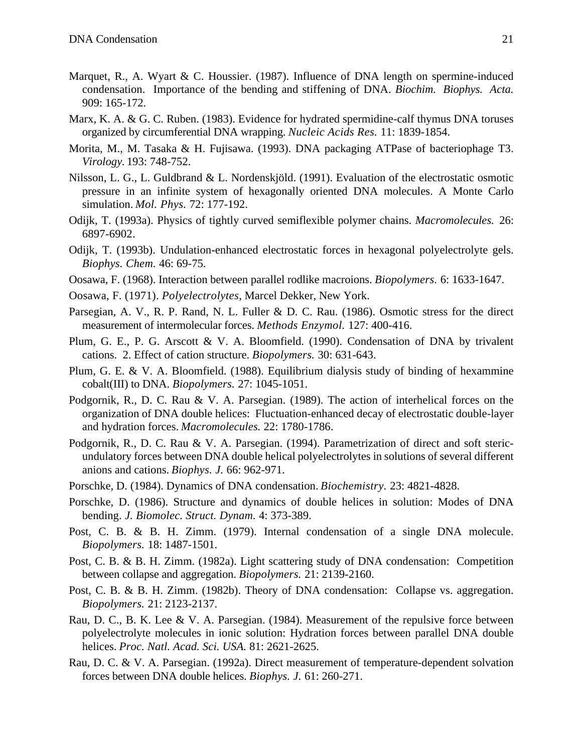- Marquet, R., A. Wyart & C. Houssier. (1987). Influence of DNA length on spermine-induced condensation. Importance of the bending and stiffening of DNA. *Biochim. Biophys. Acta.* 909: 165-172.
- Marx, K. A. & G. C. Ruben. (1983). Evidence for hydrated spermidine-calf thymus DNA toruses organized by circumferential DNA wrapping. *Nucleic Acids Res.* 11: 1839-1854.
- Morita, M., M. Tasaka & H. Fujisawa. (1993). DNA packaging ATPase of bacteriophage T3. *Virology.* 193: 748-752.
- Nilsson, L. G., L. Guldbrand & L. Nordenskjöld. (1991). Evaluation of the electrostatic osmotic pressure in an infinite system of hexagonally oriented DNA molecules. A Monte Carlo simulation. *Mol. Phys.* 72: 177-192.
- Odijk, T. (1993a). Physics of tightly curved semiflexible polymer chains. *Macromolecules.* 26: 6897-6902.
- Odijk, T. (1993b). Undulation-enhanced electrostatic forces in hexagonal polyelectrolyte gels. *Biophys. Chem.* 46: 69-75.
- Oosawa, F. (1968). Interaction between parallel rodlike macroions. *Biopolymers.* 6: 1633-1647.
- Oosawa, F. (1971). *Polyelectrolytes*, Marcel Dekker, New York.
- Parsegian, A. V., R. P. Rand, N. L. Fuller & D. C. Rau. (1986). Osmotic stress for the direct measurement of intermolecular forces. *Methods Enzymol.* 127: 400-416.
- Plum, G. E., P. G. Arscott & V. A. Bloomfield. (1990). Condensation of DNA by trivalent cations. 2. Effect of cation structure. *Biopolymers.* 30: 631-643.
- Plum, G. E. & V. A. Bloomfield. (1988). Equilibrium dialysis study of binding of hexammine cobalt(III) to DNA. *Biopolymers.* 27: 1045-1051.
- Podgornik, R., D. C. Rau & V. A. Parsegian. (1989). The action of interhelical forces on the organization of DNA double helices: Fluctuation-enhanced decay of electrostatic double-layer and hydration forces. *Macromolecules.* 22: 1780-1786.
- Podgornik, R., D. C. Rau & V. A. Parsegian. (1994). Parametrization of direct and soft stericundulatory forces between DNA double helical polyelectrolytes in solutions of several different anions and cations. *Biophys. J.* 66: 962-971.
- Porschke, D. (1984). Dynamics of DNA condensation. *Biochemistry.* 23: 4821-4828.
- Porschke, D. (1986). Structure and dynamics of double helices in solution: Modes of DNA bending. *J. Biomolec. Struct. Dynam.* 4: 373-389.
- Post, C. B. & B. H. Zimm. (1979). Internal condensation of a single DNA molecule. *Biopolymers.* 18: 1487-1501.
- Post, C. B. & B. H. Zimm. (1982a). Light scattering study of DNA condensation: Competition between collapse and aggregation. *Biopolymers.* 21: 2139-2160.
- Post, C. B. & B. H. Zimm. (1982b). Theory of DNA condensation: Collapse vs. aggregation. *Biopolymers.* 21: 2123-2137.
- Rau, D. C., B. K. Lee & V. A. Parsegian. (1984). Measurement of the repulsive force between polyelectrolyte molecules in ionic solution: Hydration forces between parallel DNA double helices. *Proc. Natl. Acad. Sci. USA.* 81: 2621-2625.
- Rau, D. C. & V. A. Parsegian. (1992a). Direct measurement of temperature-dependent solvation forces between DNA double helices. *Biophys. J.* 61: 260-271.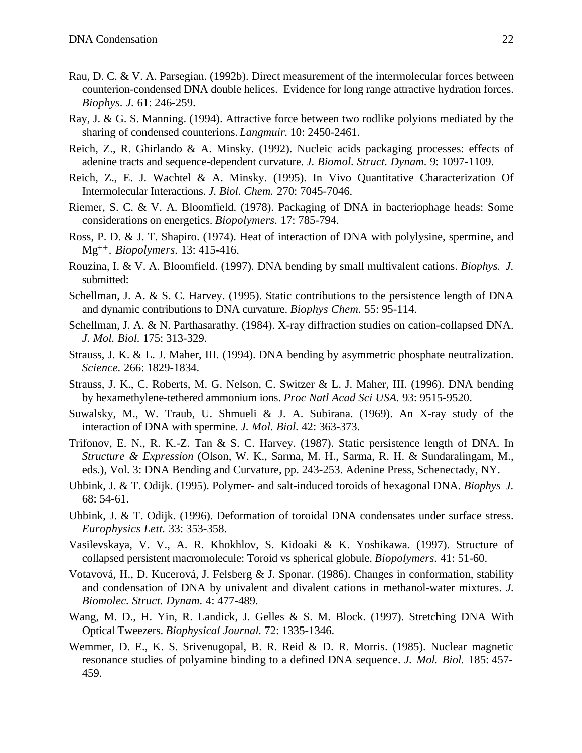- Rau, D. C. & V. A. Parsegian. (1992b). Direct measurement of the intermolecular forces between counterion-condensed DNA double helices. Evidence for long range attractive hydration forces. *Biophys. J.* 61: 246-259.
- Ray, J. & G. S. Manning. (1994). Attractive force between two rodlike polyions mediated by the sharing of condensed counterions. *Langmuir.* 10: 2450-2461.
- Reich, Z., R. Ghirlando & A. Minsky. (1992). Nucleic acids packaging processes: effects of adenine tracts and sequence-dependent curvature. *J. Biomol. Struct. Dynam.* 9: 1097-1109.
- Reich, Z., E. J. Wachtel & A. Minsky. (1995). In Vivo Quantitative Characterization Of Intermolecular Interactions. *J. Biol. Chem.* 270: 7045-7046.
- Riemer, S. C. & V. A. Bloomfield. (1978). Packaging of DNA in bacteriophage heads: Some considerations on energetics. *Biopolymers.* 17: 785-794.
- Ross, P. D. & J. T. Shapiro. (1974). Heat of interaction of DNA with polylysine, spermine, and Mg++. *Biopolymers.* 13: 415-416.
- Rouzina, I. & V. A. Bloomfield. (1997). DNA bending by small multivalent cations. *Biophys. J.* submitted:
- Schellman, J. A. & S. C. Harvey. (1995). Static contributions to the persistence length of DNA and dynamic contributions to DNA curvature. *Biophys Chem.* 55: 95-114.
- Schellman, J. A. & N. Parthasarathy. (1984). X-ray diffraction studies on cation-collapsed DNA. *J. Mol. Biol.* 175: 313-329.
- Strauss, J. K. & L. J. Maher, III. (1994). DNA bending by asymmetric phosphate neutralization. *Science.* 266: 1829-1834.
- Strauss, J. K., C. Roberts, M. G. Nelson, C. Switzer & L. J. Maher, III. (1996). DNA bending by hexamethylene-tethered ammonium ions. *Proc Natl Acad Sci USA.* 93: 9515-9520.
- Suwalsky, M., W. Traub, U. Shmueli & J. A. Subirana. (1969). An X-ray study of the interaction of DNA with spermine. *J. Mol. Biol.* 42: 363-373.
- Trifonov, E. N., R. K.-Z. Tan & S. C. Harvey. (1987). Static persistence length of DNA. In *Structure & Expression* (Olson, W. K., Sarma, M. H., Sarma, R. H. & Sundaralingam, M., eds.), Vol. 3: DNA Bending and Curvature, pp. 243-253. Adenine Press, Schenectady, NY.
- Ubbink, J. & T. Odijk. (1995). Polymer- and salt-induced toroids of hexagonal DNA. *Biophys J.* 68: 54-61.
- Ubbink, J. & T. Odijk. (1996). Deformation of toroidal DNA condensates under surface stress. *Europhysics Lett.* 33: 353-358.
- Vasilevskaya, V. V., A. R. Khokhlov, S. Kidoaki & K. Yoshikawa. (1997). Structure of collapsed persistent macromolecule: Toroid vs spherical globule. *Biopolymers.* 41: 51-60.
- Votavová, H., D. Kucerová, J. Felsberg & J. Sponar. (1986). Changes in conformation, stability and condensation of DNA by univalent and divalent cations in methanol-water mixtures. *J. Biomolec. Struct. Dynam.* 4: 477-489.
- Wang, M. D., H. Yin, R. Landick, J. Gelles & S. M. Block. (1997). Stretching DNA With Optical Tweezers. *Biophysical Journal.* 72: 1335-1346.
- Wemmer, D. E., K. S. Srivenugopal, B. R. Reid & D. R. Morris. (1985). Nuclear magnetic resonance studies of polyamine binding to a defined DNA sequence. *J. Mol. Biol.* 185: 457- 459.